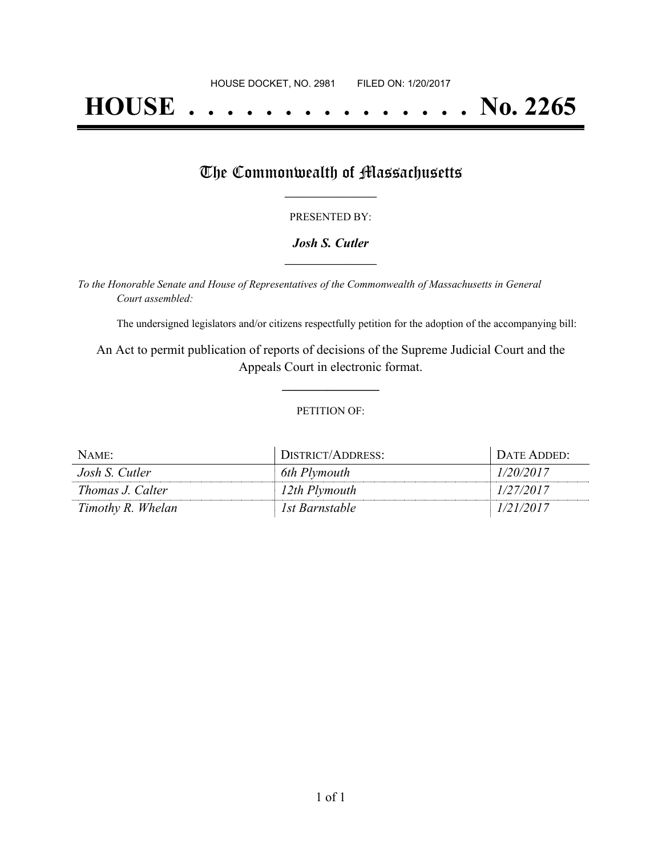# **HOUSE . . . . . . . . . . . . . . . No. 2265**

## The Commonwealth of Massachusetts

#### PRESENTED BY:

#### *Josh S. Cutler* **\_\_\_\_\_\_\_\_\_\_\_\_\_\_\_\_\_**

*To the Honorable Senate and House of Representatives of the Commonwealth of Massachusetts in General Court assembled:*

The undersigned legislators and/or citizens respectfully petition for the adoption of the accompanying bill:

An Act to permit publication of reports of decisions of the Supreme Judicial Court and the Appeals Court in electronic format.

**\_\_\_\_\_\_\_\_\_\_\_\_\_\_\_**

#### PETITION OF:

| NAME:             | DISTRICT/ADDRESS: | DATE ADDED: |
|-------------------|-------------------|-------------|
| Josh S. Cutler    | 6th Plymouth      | 1/20/2017   |
| Thomas J. Calter  | 12th Plymouth     | 1/27/2017   |
| Timothy R. Whelan | 1st Barnstable    | 1/21/2017   |